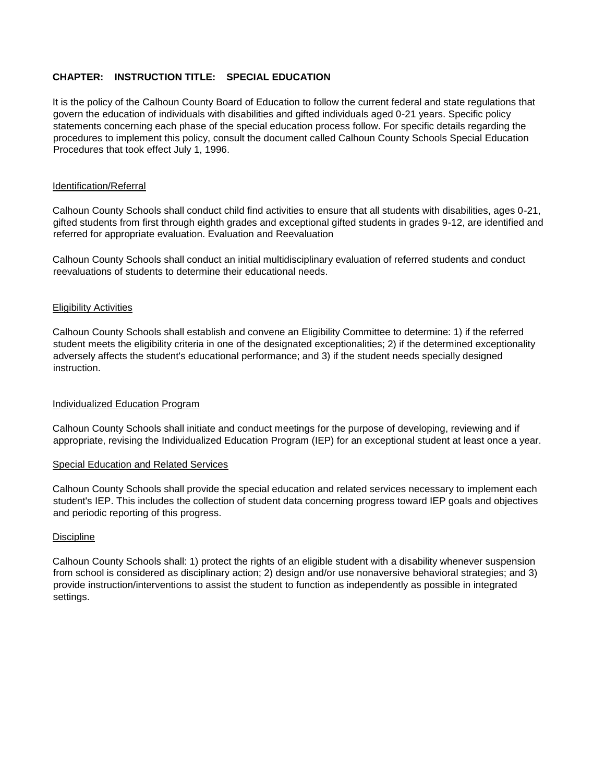## **CHAPTER: INSTRUCTION TITLE: SPECIAL EDUCATION**

It is the policy of the Calhoun County Board of Education to follow the current federal and state regulations that govern the education of individuals with disabilities and gifted individuals aged 0-21 years. Specific policy statements concerning each phase of the special education process follow. For specific details regarding the procedures to implement this policy, consult the document called Calhoun County Schools Special Education Procedures that took effect July 1, 1996.

### Identification/Referral

Calhoun County Schools shall conduct child find activities to ensure that all students with disabilities, ages 0-21, gifted students from first through eighth grades and exceptional gifted students in grades 9-12, are identified and referred for appropriate evaluation. Evaluation and Reevaluation

Calhoun County Schools shall conduct an initial multidisciplinary evaluation of referred students and conduct reevaluations of students to determine their educational needs.

#### Eligibility Activities

Calhoun County Schools shall establish and convene an Eligibility Committee to determine: 1) if the referred student meets the eligibility criteria in one of the designated exceptionalities; 2) if the determined exceptionality adversely affects the student's educational performance; and 3) if the student needs specially designed instruction.

## Individualized Education Program

Calhoun County Schools shall initiate and conduct meetings for the purpose of developing, reviewing and if appropriate, revising the Individualized Education Program (IEP) for an exceptional student at least once a year.

#### Special Education and Related Services

Calhoun County Schools shall provide the special education and related services necessary to implement each student's IEP. This includes the collection of student data concerning progress toward IEP goals and objectives and periodic reporting of this progress.

## **Discipline**

Calhoun County Schools shall: 1) protect the rights of an eligible student with a disability whenever suspension from school is considered as disciplinary action; 2) design and/or use nonaversive behavioral strategies; and 3) provide instruction/interventions to assist the student to function as independently as possible in integrated settings.